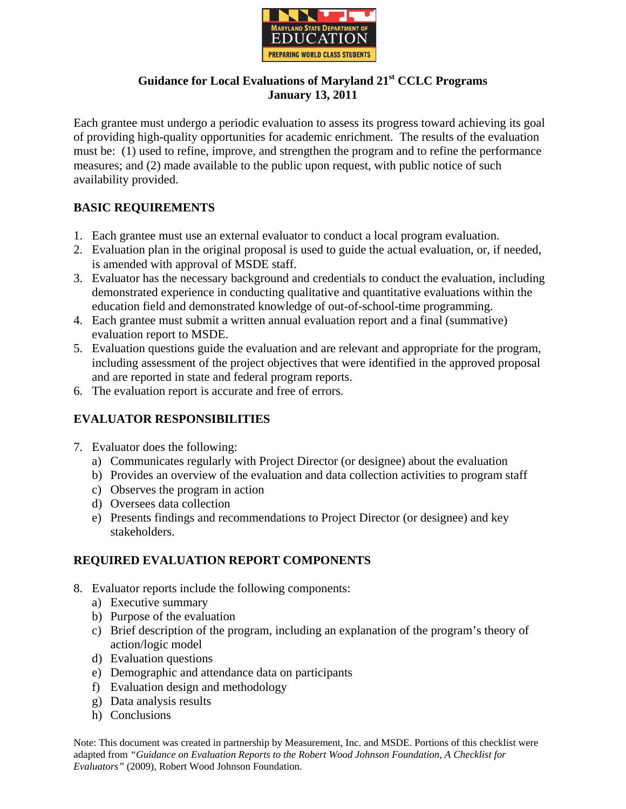

## **Guidance for Local Evaluations of Maryland 21st CCLC Programs January 13, 2011**

Each grantee must undergo a periodic evaluation to assess its progress toward achieving its goal of providing high-quality opportunities for academic enrichment. The results of the evaluation must be: (1) used to refine, improve, and strengthen the program and to refine the performance measures; and (2) made available to the public upon request, with public notice of such availability provided.

# **BASIC REQUIREMENTS**

- 1. Each grantee must use an external evaluator to conduct a local program evaluation.
- 2. Evaluation plan in the original proposal is used to guide the actual evaluation, or, if needed, is amended with approval of MSDE staff.
- 3. Evaluator has the necessary background and credentials to conduct the evaluation, including demonstrated experience in conducting qualitative and quantitative evaluations within the education field and demonstrated knowledge of out-of-school-time programming.
- 4. Each grantee must submit a written annual evaluation report and a final (summative) evaluation report to MSDE.
- 5. Evaluation questions guide the evaluation and are relevant and appropriate for the program, including assessment of the project objectives that were identified in the approved proposal and are reported in state and federal program reports.
- 6. The evaluation report is accurate and free of errors.

# **EVALUATOR RESPONSIBILITIES**

- 7. Evaluator does the following:
	- a) Communicates regularly with Project Director (or designee) about the evaluation
	- b) Provides an overview of the evaluation and data collection activities to program staff
	- c) Observes the program in action
	- d) Oversees data collection
	- e) Presents findings and recommendations to Project Director (or designee) and key stakeholders.

# **REQUIRED EVALUATION REPORT COMPONENTS**

- 8. Evaluator reports include the following components:
	- a) Executive summary
	- b) Purpose of the evaluation
	- c) Brief description of the program, including an explanation of the program's theory of action/logic model
	- d) Evaluation questions
	- e) Demographic and attendance data on participants
	- f) Evaluation design and methodology
	- g) Data analysis results
	- h) Conclusions

Note: This document was created in partnership by Measurement, Inc. and MSDE. Portions of this checklist were adapted from *"Guidance on Evaluation Reports to the Robert Wood Johnson Foundation, A Checklist for Evaluators"* (2009), Robert Wood Johnson Foundation.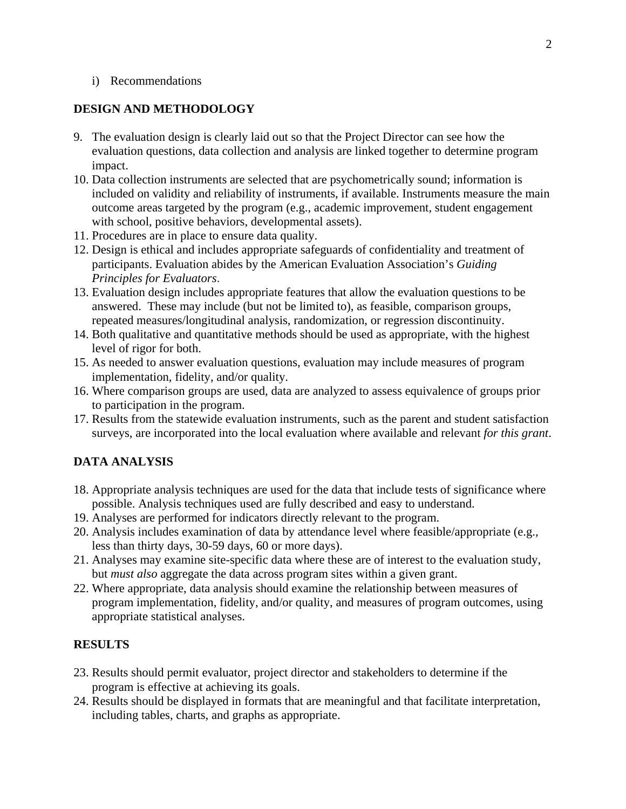#### i) Recommendations

### **DESIGN AND METHODOLOGY**

- 9. The evaluation design is clearly laid out so that the Project Director can see how the evaluation questions, data collection and analysis are linked together to determine program impact.
- 10. Data collection instruments are selected that are psychometrically sound; information is included on validity and reliability of instruments, if available. Instruments measure the main outcome areas targeted by the program (e.g., academic improvement, student engagement with school, positive behaviors, developmental assets).
- 11. Procedures are in place to ensure data quality.
- 12. Design is ethical and includes appropriate safeguards of confidentiality and treatment of participants. Evaluation abides by the American Evaluation Association's *Guiding Principles for Evaluators*.
- 13. Evaluation design includes appropriate features that allow the evaluation questions to be answered. These may include (but not be limited to), as feasible, comparison groups, repeated measures/longitudinal analysis, randomization, or regression discontinuity.
- 14. Both qualitative and quantitative methods should be used as appropriate, with the highest level of rigor for both.
- 15. As needed to answer evaluation questions, evaluation may include measures of program implementation, fidelity, and/or quality.
- 16. Where comparison groups are used, data are analyzed to assess equivalence of groups prior to participation in the program.
- 17. Results from the statewide evaluation instruments, such as the parent and student satisfaction surveys, are incorporated into the local evaluation where available and relevant *for this grant*.

## **DATA ANALYSIS**

- 18. Appropriate analysis techniques are used for the data that include tests of significance where possible. Analysis techniques used are fully described and easy to understand.
- 19. Analyses are performed for indicators directly relevant to the program.
- 20. Analysis includes examination of data by attendance level where feasible/appropriate (e.g., less than thirty days, 30-59 days, 60 or more days).
- 21. Analyses may examine site-specific data where these are of interest to the evaluation study, but *must also* aggregate the data across program sites within a given grant.
- 22. Where appropriate, data analysis should examine the relationship between measures of program implementation, fidelity, and/or quality, and measures of program outcomes, using appropriate statistical analyses.

### **RESULTS**

- 23. Results should permit evaluator, project director and stakeholders to determine if the program is effective at achieving its goals.
- 24. Results should be displayed in formats that are meaningful and that facilitate interpretation, including tables, charts, and graphs as appropriate.